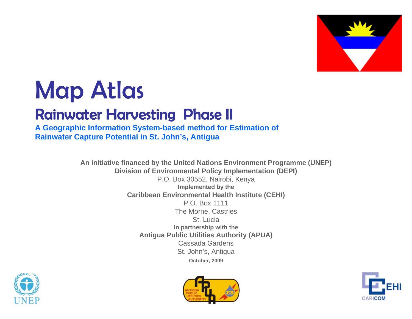

# Map Atlas

# Rainwater Harvesting Phase II

**A Geographic Information System-based method for Estimation of Rainwater Capture Potential in St. John's, Antigua**

> **An initiative financed by the United Nations Environment Programme (UNEP) Division of Environmental Policy Implementation (DEPI)** P.O. Box 30552, Nairobi, Kenya **Implemented by the Caribbean Environmental Health Institute (CEHI)** P.O. Box 1111The Morne, Castries St. Lucia **In partnership with the Antigua Public Utilities Authority (APUA)** Cassada GardensSt. John's, Antigua **October, 2009**





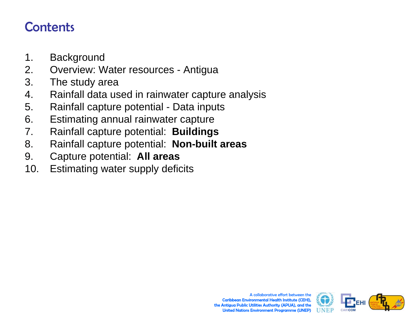# **Contents**

- 1. Background
- 2. Overview: Water resources Antigua
- 3. The study area
- 4. Rainfall data used in rainwater capture analysis
- 5. Rainfall capture potential Data inputs
- 6. Estimating annual rainwater capture
- 7. Rainfall capture potential: **Buildings**
- 8. Rainfall capture potential: **Non-built areas**
- 9. Capture potential: **All areas**
- 10. Estimating water supply deficits

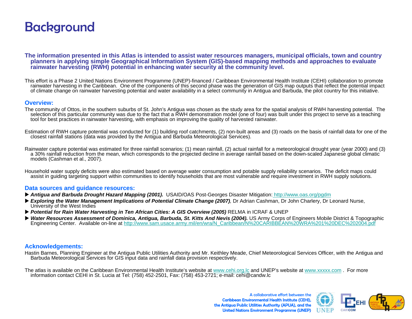# **Background**

**The information presented in this Atlas is intended to assist water resources managers, municipal officials, town and country planners in applying simple Geographical Information System (GIS)-based mapping methods and approaches to evaluate rainwater harvesting (RWH) potential in enhancing water security at the community level.**

This effort is a Phase 2 United Nations Environment Programme (UNEP)-financed / Caribbean Environmental Health Institute (CEHI) collaboration to promote rainwater harvesting in the Caribbean. One of the components of this second phase was the generation of GIS map outputs that reflect the potential impact of climate change on rainwater harvesting potential and water availability in a select community in Antigua and Barbuda, the pilot country for this initiative.

#### **Overview:**

- The community of Ottos, in the southern suburbs of St. John's Antigua was chosen as the study area for the spatial analysis of RWH harvesting potential. The selection of this particular community was due to the fact that a RWH demonstration model (one of four) was built under this project to serve as a teaching tool for best practices in rainwater harvesting, with emphasis on improving the quality of harvested rainwater.
- Estimation of RWH capture potential was conducted for (1) building roof catchments, (2) non-built areas and (3) roads on the basis of rainfall data for one of the closest rainfall stations (data was provided by the Antigua and Barbuda Meteorological Services).
- Rainwater capture potential was estimated for three rainfall scenarios; (1) mean rainfall, (2) actual rainfall for a meteorological drought year (year 2000) and (3) a 30% rainfall reduction from the mean, which corresponds to the projected decline in average rainfall based on the down-scaled Japanese global climatic models (Cashman et al., 2007).
- Household water supply deficits were also estimated based on average water consumption and potable supply reliability scenarios. The deficit maps could assist in guiding targeting support within communities to identify households that are most vulnerable and require investment in RWH supply solutions.

#### **Data sources and guidance resources:**

- *Antigua and Barbuda Drought Hazard Mapping (2001).* USAID/OAS Post-Georges Disaster Mitigation: <http://www.oas.org/pgdm>
- ► Exploring the Water Management Implications of Potential Climate Change (2007), Dr Adrian Cashman, Dr John Charlery, Dr Leonard Nurse, University of the West Indies
- ▶ Potential for Rain Water Harvesting in Ten African Cities: A GIS Overview (2005) RELMA in ICRAF & UNEP
- ▶ Water Resources Assessment of Dominica, Antigua, Barbuda, St. Kitts And Nevis (2004). US Army Corps of Engineers Mobile District & Topographic Engineering Center. Available on-line at [http://www.sam.usace.army.mil/en/wra/N\\_Caribbean/N%20CARIBBEAN%20WRA%201%20DEC%202004.pdf](http://www.sam.usace.army.mil/en/wra/N_Caribbean/N CARIBBEAN WRA 1 DEC 2004.pdf)

#### **Acknowledgements:**

Hastin Barnes, Planning Engineer at the Antigua Public Utilities Authority and Mr. Keithley Meade, Chief Meteorological Services Officer, with the Antigua and Barbuda Meteorological Services for GIS input data and rainfall data provision respectively.

The atlas is available on the Caribbean Environmental Health Institute's website at [www.cehi.org.lc](http://www.cehi.org.lc/) and UNEP's website at www.xxxxx.com. For more information contact CEHI in St. Lucia at Tel: (758) 452-250[1](http://www.cehi.org.lc/), Fax: (758) 453

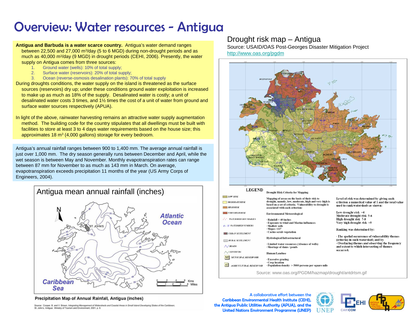# Overview: Water resources - Antigua

**Antigua and Barbuda is a water scarce country.** Antigua's water demand ranges between 22,500 and 27,000 m3/day (5 to 6 MGD) during non-drought periods and as much as 40,000 m3/day (9 MGD) in drought periods (CEHI, 2006). Presently, the water supply on Antigua comes from three sources:

- 1. Ground water (wells): 10% of total supply;<br>2. Surface water (reservoirs): 20% of total su
- Surface water (reservoirs): 20% of total supply;
- 3. Ocean (reverse-osmosis desalination plants): 70% of total supply

During droughts conditions, the water supply on the island is threatened as the surface sources (reservoirs) dry up; under these conditions ground water exploitation is increased to make up as much as 18% of the supply. Desalinated water is costly; a unit of desalinated water costs 3 times, and 1½ times the cost of a unit of water from ground and surface water sources respectively (APUA).

In light of the above, rainwater harvesting remains an attractive water supply augmentation method. The building code for the country stipulates that all dwellings must be built with facilities to store at least 3 to 4 days water requirements based on the house size; this approximates 18 m<sup>3</sup> (4,000 gallons) storage for every bedroom.

Antigua's annual rainfall ranges between 900 to 1,400 mm. The average annual rainfall is just over 1,000 mm. The dry season generally runs between December and April, while the wet season is between May and November. Monthly evapotranspiration rates can range between 87 mm for November to as much as 143 mm in March. On average, evapotranspiration exceeds precipitation 11 months of the year (US Army Corps of Engineers, 2004).



#### Precipitation Map of Annual Rainfall, Antigua (inches)

Source: Cooper, B. and V. Brown, Integrating Management of Watersheds and Coastal Areas in Small Island Developing States of the Caribbean<br>St. John's, Antigua: Ministry of Tourism and Environment, 2001, p. 6.

### Drought risk map – Antigua

Source: USAID/OAS Post-Georges Disaster Mitigation Project <http://www.oas.org/pgdm>



#### **Drought Risk Criteria for Mapping**

 $LOW$  RISI

 $MODER4$ 

 $HIGH$  $VERTHI$ 

 $\mathcal{L}$  *WATERS* 

 $4 - 11$  *WATER* 

**THE URBANS** 

| <b>LOW RISK</b>                     |                                                                                                                                                                    |                                                                                                     |  |  |  |  |
|-------------------------------------|--------------------------------------------------------------------------------------------------------------------------------------------------------------------|-----------------------------------------------------------------------------------------------------|--|--|--|--|
| <b>MODERATE RISK</b>                | Mapping of areas on the basis of their risk to<br>drought, namely, low, moderate, high and very high is<br>based on a set of criteria. Vulnerability to drought is | Level of risk was determined by giving each<br>criterion a numerical value of 1 and the total value |  |  |  |  |
| <b>HIGH RISK</b>                    | associated with each criterion:                                                                                                                                    | used to rank watersheds as shown:                                                                   |  |  |  |  |
| <b>VERY HIGH RISK</b>               | Environmental Meteorological                                                                                                                                       | Low drought risk <4                                                                                 |  |  |  |  |
|                                     |                                                                                                                                                                    | Moderate drought risk 5-6                                                                           |  |  |  |  |
| <b>WATERSHED BOUNDARIES</b><br>r ch | $\cdot$ Rainfall $<$ 40 inches                                                                                                                                     | High drought risk 7-8                                                                               |  |  |  |  |
|                                     | · Exposure to wind and Marine influences                                                                                                                           | Very high drought risk >9                                                                           |  |  |  |  |
| <b>4 - 11 WATERSHED NUMBERS</b>     | · Shallow soils                                                                                                                                                    |                                                                                                     |  |  |  |  |
|                                     | $\cdot$ Slopes $>11^{\circ}$                                                                                                                                       | Ranking was determined by:                                                                          |  |  |  |  |
| <b>URBAN SETTLEMENT</b>             | · Cactus scrub vegetation                                                                                                                                          |                                                                                                     |  |  |  |  |
| <b>RURAL SETTLEMENT</b>             | <b>Hydrological/Infrastructural</b>                                                                                                                                | • The spatial occurrence of vulnerability themes<br>(criteria) in each watershed; and by            |  |  |  |  |
| $\bigwedge$ ROADS                   | · Limited water resources (Absence of wells)<br>· Shortage of dams / ponds                                                                                         | Overlaving themes and observing the frequency<br>and extent to which intersecting of themes         |  |  |  |  |
| /CONTOURS                           | Human/Landuse                                                                                                                                                      | occurred.                                                                                           |  |  |  |  |
| <b>MUNICIPAL RESERVOIR</b>          | · Excessive grazing                                                                                                                                                |                                                                                                     |  |  |  |  |
| <b>AGRICULTURAL RESERVOIR</b>       | Crop location<br>$\cdot$ Population density $>$ 5000 persons per square mile                                                                                       |                                                                                                     |  |  |  |  |
|                                     |                                                                                                                                                                    |                                                                                                     |  |  |  |  |

Source: www.oas.org/PGDM/hazmap/drought/antdrtsm.gif

#### ing was determined by:

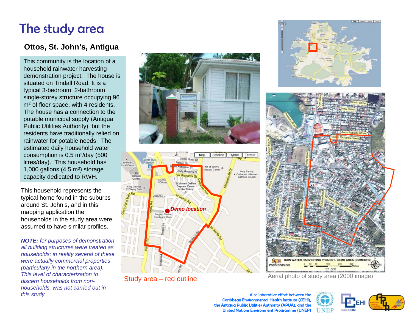# The study area

# **Ottos, St. John's, Antigua**

This community is the location of a household rainwater harvesting demonstration project. The house is situated on Tindall Road. It is a typical 3-bedroom, 2-bathroom single-storey structure occupying 96 m<sup>2</sup> of floor space, with 4 residents. The house has a connection to the potable municipal supply (Antigua Public Utilities Authority) but the residents have traditionally relied on rainwater for potable needs. The estimated daily household water consumption is  $0.5 \text{ m}^3/\text{day}$  (500 litres/day). This household has 1,000 gallons  $(4.5 \text{ m}^3)$  storage capacity dedicated to RWH.

This household represents the typical home found in the suburbs around St. John's, and in this mapping application the households in the study area were assumed to have similar profiles.

*NOTE: for purposes of demonstration all building structures were treated as households; in reality several of these were actually commercial properties (particularly in the northern area). This level of characterization to discern households from nonhouseholds was not carried out in this study.*





Study area – red outline



Aerial photo of study area (2000 image)

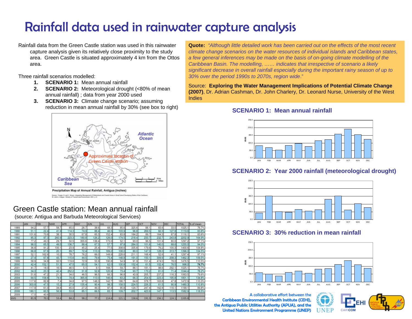# Rainfall data used in rainwater capture analysis

Rainfall data from the Green Castle station was used in this rainwater capture analysis given its relatively close proximity to the study area. Green Castle is situated approximately 4 km from the Ottos area.

Three rainfall scenarios modelled:

- **1. SCENARIO 1:** Mean annual rainfall
- **2. SCENARIO 2:** Meteorological drought (<80% of mean annual rainfall) ; data from year 2000 used
- **3. SCENARIO 3:** Climate change scenario; assuming reduction in mean annual rainfall by 30% (see box to right)



# Green Castle station: Mean annual rainfall

(source: Antigua and Barbuda Meteorological Services)

|      | <b>JAN</b> | FEB   | MAR  | APR   | MAY   | <b>JUN</b> | <b>JUL</b> | <b>AUG</b> | <b>SEP</b> | OCT   | NOV   | DEC   | <b>TOTAL</b> | % of mean |
|------|------------|-------|------|-------|-------|------------|------------|------------|------------|-------|-------|-------|--------------|-----------|
| 1989 | 94.2       | 57.7  | 58.  | 65.0  | 26.   | 38.6       | 68.3       | 85.6       | 325.6      | 88.1  | 83.6  | 33.0  | 1025         | 76.7%     |
| 1990 | 51.1       | 22.4  | 41.9 | 114.3 | 74.9  | 88.4       | 46.5       | 103.9      | 96.8       | 269.5 | 82.3  | 127.8 | 119.         | 83.8%     |
| 1991 | 101.6      | 70.6  | 38.1 | 30.5  | 67.8  | 65.3       | 152.4      | 83.8       | 184.2      | 89.7  | 164.3 | 67.8  | 1116.        | 83.6%     |
| 1992 | 85.3       | 97.3  | 260. | 223.3 | 180.8 | 126.2      | 126.0      | 174.5      | 218.4      | 233.7 | 232.  | 243.8 | 2202.9       | 64.9%     |
| 1993 | 77.2       | 49.3  | 29.7 | 50.5  | 355.6 | 138.4      | 173.0      | 52.1       | 93.0       | 96.   | 101.9 | 80.0  | 1297         | 97.1%     |
| 1994 | 98.0       | 65.5  | 49.5 | 136.7 | 88.4  | 67.3       | 57.        | 97.8       | 284.0      | 101.6 | 140.0 | 68.6  | 255.0        | 94.0%     |
| 1995 | 36.8       | 91.2  | 100  | 23.9  | 45.2  | 25.4       | 77.5       | 308.6      | 335.8      | 179.6 | 76.2  | 100.3 | 1400.6       | 104.8%    |
| 1996 | 66.8       | 67.6  | 20.1 | 89.7  | 72.4  | 113.3      | 189.2      | 108.0      | 80.0       | 147.3 | 128.0 | 313.7 | 396.0        | 104.5%    |
| 1997 | 52.1       | 162.6 | 10.2 | 78.7  | 76.2  | 66.0       | 149.9      | 228.6      | 211.1      | 168.4 | 52.6  | 41    | 297          | 97.1%     |
| 1998 | 27.4       | 67.8  | 43.  | 115.6 | 44.5  | 79.8       | 75.4       | 148.8      | 191.0      | 150.1 | 309.9 | 208.3 | 462.         | 109.5%    |
| 1999 | 58.9       | 34.8  | 93.5 | 119.6 | 72.9  | 55.9       | 190.8      | 54.9       | 91.9       | 151.4 | 474.0 | 78.0  | 1476.        | 110.5%    |
| 2000 | 42.4       | 152.1 | 51.3 | 47.5  | 65.0  | 54.1       | 62.0       | 130.8      | 152.4      | 61.5  | 102.4 | 76.5  | 998.0        | 74.7%     |
| 2001 | 41.7       | 18.0  | 16.5 | 46.5  | 5.1   | 9.1        | 168.7      | 59.7       | 88.        | 181.1 | 98.6  | 292.1 | 1025.        | 76.7%     |
| 2002 | 34.3       | 20.3  | 42.4 | 252.2 | 31.8  | 52.8       | 120.9      | 73.4       | 93.7       | 170.2 | 81.0  | 71.4  | 1044.        | 78.2%     |
| 2003 | 51.6       | 47.2  | 21.3 | 34.0  | 46.5  | 96.5       | 66.3       | 96.8       | 43.9       | 205.7 | 237.2 | 116.3 | 1063.        | 79.6%     |
| 2004 | 64.5       | 158.8 | 74.9 | 74.4  | 365.8 | 113.0      | 146.6      | 63.2       | 66.3       | 254.5 | 223.3 | 195.8 | 1801.        | 134.8%    |
| 2005 | 117.6      | 82.8  | 7.4  | 34.8  | 97.5  | 148.3      | 142.7      | 186.7      | 64.8       | 378.7 | 163.8 | 47.8  | 1472.9       | 110.3%    |
| 2006 | 303.8      | 47.5  | 15.2 | 27.9  | 135.4 | 90.4       | 98.3       | 158.5      | 224.5      | 226.3 | 61.5  | 90.9  | 480.         | 110.8%    |
| 2007 | 117.9      | 61.0  | 34.8 | 65.0  | 27.2  | 49.3       | 97.3       | 95.8       | 124.7      | 247.4 | 162.8 | 116.1 | 1199.        | 89.8%     |
| 2008 | 180.1      | 60.5  | 56.9 | 53.8  | 85.1  | 66.5       | 83.1       | 109.7      | 202.       | 423.9 | 147.1 | 113.5 | 1582.        | 118.5%    |
| 2009 | 17.0       | 40.6  |      |       |       |            |            |            |            |       |       |       |              |           |
| AVG  | 81.9       | 70.3  | 53.4 | 84.2  | 98.2  | 77.2       | 114.6      | 121.1      | 158.6      | 191.3 | 156.1 | 124.1 | 1335.8       |           |

**Quote:** *"Although little detailed work has been carried out on the effects of the most recent climate change scenarios on the water resources of individual islands and Caribbean states, a few general inferences may be made on the basis of on-going climate modelling of the Caribbean Basin. The modelling, …… indicates that irrespective of scenario a likely significant decrease in overall rainfall especially during the important rainy season of up to 30% over the period 1990s to 2070s, region wide*."

Source: **Exploring the Water Management Implications of Potential Climate Change (2007)**, Dr. Adrian Cashman, Dr. John Charlery, Dr. Leonard Nurse, University of the West Indies

### **SCENARIO 1: Mean annual rainfall**



## **SCENARIO 2: Year 2000 rainfall (meteorological drought)**



### **SCENARIO 3: 30% reduction in mean rainfall**



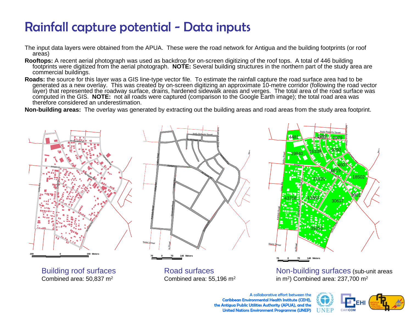# Rainfall capture potential - Data inputs

- The input data layers were obtained from the APUA. These were the road network for Antigua and the building footprints (or roof areas)
- **Rooftops:** A recent aerial photograph was used as backdrop for on-screen digitizing of the roof tops. A total of 446 building footprints were digitized from the aerial photograph. **NOTE:** Several building structures in the northern part of the study area are commercial buildings.
- **Roads:** the source for this layer was a GIS line-type vector file. To estimate the rainfall capture the road surface area had to be generated as a new overlay. This was created by on-screen digitizing an approximate 10-metre corridor (following the road vector<br>layer) that represented the roadway surface, drains, hardened sidewalk areas and verges. The computed in the GIS. NOTE: not all roads were captured (comparison to the Google Earth image); the total road area was therefore considered an underestimation.

**Non-building areas:** The overlay was generated by extracting out the building areas and road areas from the study area footprint.



Building roof surfaces Combined area: 50,837 m2

Road surfacesCombined area: 55,196 m2 Non-building surfaces (sub-unit areas in m2) Combined area: 237,700 m2

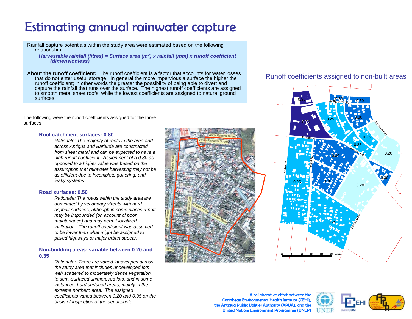# Estimating annual rainwater capture

Rainfall capture potentials within the study area were estimated based on the following relationship:

*Harvestable rainfall (litres) = Surface area (m2) x rainfall (mm) x runoff coefficient (dimensionless)*

**About the runoff coefficient:** The runoff coefficient is a factor that accounts for water losses that do not enter useful storage. In general the more impervious a surface the higher the runoff coefficient; in other words the greater the possibility of being able to divert and capture the rainfall that runs over the surface. The highest runoff coefficients are assigned to smooth metal sheet roofs, while the lowest coefficients are assigned to natural ground surfaces.

The following were the runoff coefficients assigned for the three surfaces:

#### **Roof catchment surfaces: 0.80**

*Rationale: The majority of roofs in the area and across Antigua and Barbuda are constructed from sheet metal and can be expected to have a high runoff coefficient. Assignment of a 0.80 as opposed to a higher value was based on the assumption that rainwater harvesting may not be as efficient due to incomplete guttering, and leaky systems.*

#### **Road surfaces: 0.50**

*Rationale: The roads within the study area are dominated by secondary streets with hard asphalt surfaces, although in some places runoff may be impounded (on account of poor maintenance) and may permit localized infiltration. The runoff coefficient was assumed to be lower than what might be assigned to paved highways or major urban streets.*

#### **Non-building areas: variable between 0.20 and 0.35**

*Rationale: There are varied landscapes across the study area that includes undeveloped lots with scattered to moderately dense vegetation, to semi-surfaced unimproved lots, and in some instances, hard surfaced areas, mainly in the extreme northern area. The assigned coefficients varied between 0.20 and 0.35 on the basis of inspection of the aerial photo.*



## Runoff coefficients assigned to non-built areas



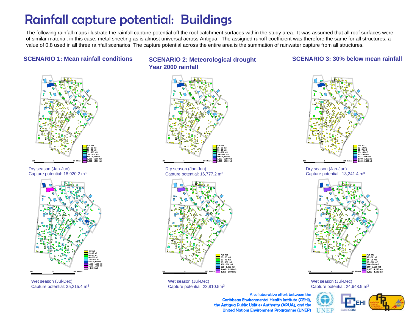# Rainfall capture potential: Buildings

The following rainfall maps illustrate the rainfall capture potential off the roof catchment surfaces within the study area. It was assumed that all roof surfaces were of similar material, in this case, metal sheeting as is almost universal across Antigua. The assigned runoff coefficient was therefore the same for all structures; a value of 0.8 used in all three rainfall scenarios. The capture potential across the entire area is the summation of rainwater capture from all structures.

### **SCENARIO 1: Mean rainfall conditions**



Dry season (Jan-Jun) Capture potential: 18,920.2 m3



Wet season (Jul-Dec) Capture potential: 35,215.4 m3

### **SCENARIO 2: Meteorological drought Year 2000 rainfall**

#### Viv Richards St.Joseph Ln. $\mathbf{z}_b$  Saints Rd.Valley Rd. Dependence  $\mathbf{r}$ Tinggil Rd. Camacho Ave. **200 0 200 Meters <25 m325 - 50 m3 50 - 75 m3 75 - 100 m3 100 - 500 m3 500 - 1,000 m3 1,000 - 1,250 m3 1,250 - 1,500 m3**

Dry season (Jan-Jun) Capture potential: 16,777.2 m3



Wet season (Jul-Dec) Capture potential: 23,810.5m3

### **SCENARIO 3: 30% below mean rainfall**



Dry season (Jan-Jun) Capture potential: 13,241.4 m3



Wet season (Jul-Dec) Capture potential: 24,648.9 m3

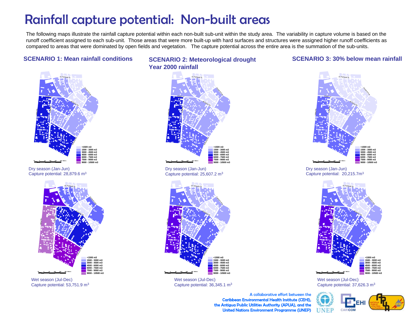# Rainfall capture potential: Non-built areas

The following maps illustrate the rainfall capture potential within each non-built sub-unit within the study area. The variability in capture volume is based on the runoff coefficient assigned to each sub-unit. Those areas that were more built-up with hard surfaces and structures were assigned higher runoff coefficients as compared to areas that were dominated by open fields and vegetation. The capture potential across the entire area is the summation of the sub-units.

### **SCENARIO 1: Mean rainfall conditions**



Dry season (Jan-Jun) Capture potential: 28,879.6 m3



Wet season (Jul-Dec) Capture potential: 53,751.9 m3

### **SCENARIO 2: Meteorological drought Year 2000 rainfall**

### **SCENARIO 3: 30% below mean rainfall**



Dry season (Jan-Jun) Capture potential: 25,607.2 m3



Wet season (Jul-Dec) Capture potential: 36,345.1 m3



Dry season (Jan-Jun) Capture potential: 20,215.7m3



Wet season (Jul-Dec) Capture potential: 37,626.3 m3

**NEP**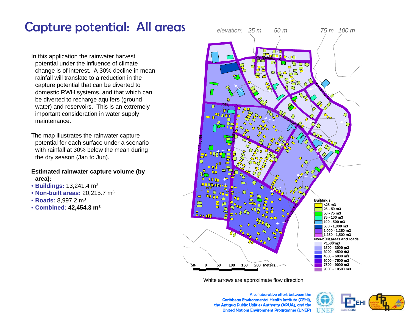# Capture potential: All areas

In this application the rainwater harvest potential under the influence of climate change is of interest. A 30% decline in mean rainfall will translate to a reduction in the capture potential that can be diverted to domestic RWH systems, and that which can be diverted to recharge aquifers (ground water) and reservoirs. This is an extremely important consideration in water supply maintenance.

The map illustrates the rainwater capture potential for each surface under a scenario with rainfall at 30% below the mean during the dry season (Jan to Jun).

### **Estimated rainwater capture volume (by area):**

- **Buildings:** 13,241.4 m3
- **Non-built areas:** 20,215.7 m3
- **Roads:** 8,997.2 m3
- **Combined: 42,454.3 m3**



White arrows are approximate flow direction